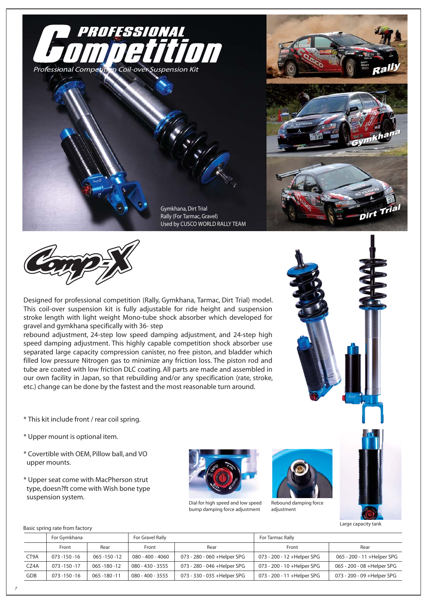





Designed for professional competition (Rally, Gymkhana, Tarmac, Dirt Trial) model. This coil-over suspension kit is fully adjustable for ride height and suspension stroke length with light weight Mono-tube shock absorber which developed for gravel and gymkhana specifically with 36- step

rebound adjustment, 24-step low speed damping adjustment, and 24-step high speed damping adjustment. This highly capable competition shock absorber use separated large capacity compression canister, no free piston, and bladder which filled low pressure Nitrogen gas to minimize any friction loss. The piston rod and tube are coated with low friction DLC coating. All parts are made and assembled in our own facility in Japan, so that rebuilding and/or any specification (rate, stroke, etc.) change can be done by the fastest and the most reasonable turn around.



\* This kit include front / rear coil spring.

- \* Upper mount is optional item.
- \* Covertible with OEM, Pillow ball, and VO upper mounts.
- \* Upper seat come with MacPherson strut type, doesn?ft come with Wish bone type suspension system.



Dial for high speed and low speed bump damping force adjustment



Rebound damping force adjustment

Large capacity tank

### Basic spring rate from factory

|      | For Gymkhana     |                  | For Gravel Rally |                              | For Tarmac Rally            |                             |
|------|------------------|------------------|------------------|------------------------------|-----------------------------|-----------------------------|
|      | Front            | Rear             | Front            | Rear                         | Front                       | Rear                        |
| CT9A | 073 - 150 - 16   | 065 -150 -12     | 080 - 400 - 4060 | 073 - 280 - 060 +Helper SPG  | 073 - 200 - 12 +Helper SPG  | 065 - 200 - 11 + Helper SPG |
| CZ4A | 073 -150 -17     | 065 - 180 - 12   | 080 - 430 - 3555 | 073 - 280 - 046 + Helper SPG | 073 - 200 - 10 +Helper SPG  | 065 - 200 - 08 +Helper SPG  |
| GDB  | $073 - 150 - 16$ | $065 - 180 - 11$ | 080 - 400 - 3555 | 073 - 330 - 035 +Helper SPG  | 073 - 200 - 11 + Helper SPG | 073 - 200 - 09 +Helper SPG  |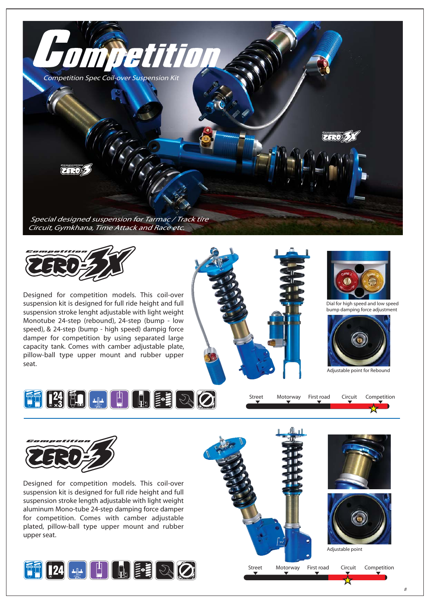



Designed for competition models. This coil-over suspension kit is designed for full ride height and full suspension stroke lenght adjustable with light weight Monotube 24-step (rebound), 24-step (bump - low speed), & 24-step (bump - high speed) dampig force damper for competition by using separated large capacity tank. Comes with camber adjustable plate, pillow-ball type upper mount and rubber upper seat.





Dial for high speed and low speed bump damping force adjustment







Street Motorway First road Circuit Competition



Designed for competition models. This coil-over suspension kit is designed for full ride height and full suspension stroke length adjustable with light weight aluminum Mono-tube 24-step damping force damper for competition. Comes with camber adjustable plated, pillow-ball type upper mount and rubber upper seat.



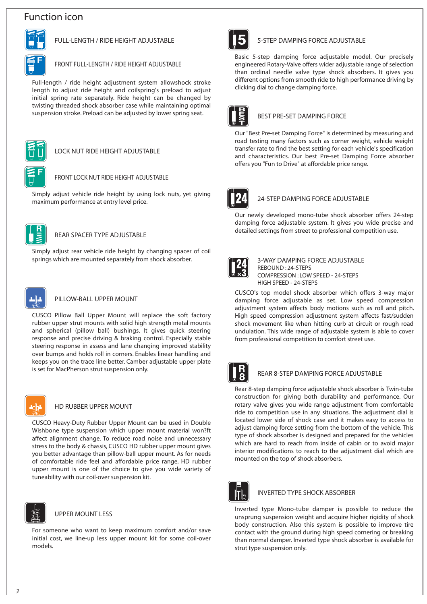# **Function icon**



## **FULL-LENGTH / RIDE HEIGHT ADJUSTABLE**

### **FRONT FULL-LENGTH / RIDE HEIGHT ADJUSTABLE**

Full-length / ride height adjustment system allowshock stroke length to adjust ride height and coilspring's preload to adjust initial spring rate separately. Ride height can be changed by twisting threaded shock absorber case while maintaining optimal suspension stroke. Preload can be adjusted by lower spring seat.



#### **LOCK NUT RIDE HEIGHT ADJUSTABLE**

## **FRONT LOCK NUT RIDE HEIGHT ADJUSTABLE**

Simply adjust vehicle ride height by using lock nuts, yet giving maximum performance at entry level price.



## **REAR SPACER TYPE ADJUSTABLE**

Simply adjust rear vehicle ride height by changing spacer of coil springs which are mounted separately from shock absorber.



### **PILLOW-BALL UPPER MOUNT**

CUSCO Pillow Ball Upper Mount will replace the soft factory rubber upper strut mounts with solid high strength metal mounts and spherical (pillow ball) bushings. It gives quick steering response and precise driving & braking control. Especially stable steering response in assess and lane changing improved stability over bumps and holds roll in corners. Enables linear handling and keeps you on the trace line better. Camber adjustable upper plate is set for MacPherson strut suspension only.



### **HD RUBBER UPPER MOUNT**

CUSCO Heavy-Duty Rubber Upper Mount can be used in Double Wishbone type suspension which upper mount material won?ft affect alignment change. To reduce road noise and unnecessary stress to the body & chassis, CUSCO HD rubber upper mount gives you better advantage than pillow-ball upper mount. As for needs of comfortable ride feel and affordable price range, HD rubber upper mount is one of the choice to give you wide variety of tuneability with our coil-over suspension kit.



### **UPPER MOUNT LESS**

For someone who want to keep maximum comfort and/or save initial cost, we line-up less upper mount kit for some coil-over models.



### **5-STEP DAMPING FORCE ADJUSTABLE**

Basic 5-step damping force adjustable model. Our precisely engineered Rotary-Valve offers wider adjustable range of selection than ordinal needle valve type shock absorbers. It gives you different options from smooth ride to high performance driving by clicking dial to change damping force.



## **BEST PRE-SET DAMPING FORCE**

Our "Best Pre-set Damping Force" is determined by measuring and road testing many factors such as corner weight, vehicle weight transfer rate to find the best setting for each vehicle's specification and characteristics. Our best Pre-set Damping Force absorber offers you "Fun to Drive" at affordable price range.



### **24-STEP DAMPING FORCE ADJUSTABLE**

Our newly developed mono-tube shock absorber offers 24-step damping force adjustable system. It gives you wide precise and detailed settings from street to professional competition use.



#### **3-WAY DAMPING FORCE ADJUSTABLE REBOUND : 24-STEPS COMPRESSION : LOW SPEED - 24-STEPS HIGH SPEED - 24-STEPS**

CUSCO's top model shock absorber which offers 3-way major damping force adjustable as set. Low speed compression adjustment system affects body motions such as roll and pitch. High speed compression adjustment system affects fast/sudden shock movement like when hitting curb at circuit or rough road undulation. This wide range of adjustable system is able to cover from professional competition to comfort street use.



## **REAR 8-STEP DAMPING FORCE ADJUSTABLE**

Rear 8-step damping force adjustable shock absorber is Twin-tube construction for giving both durability and performance. Our rotary valve gives you wide range adjustment from comfortable ride to competition use in any situations. The adjustment dial is located lower side of shock case and it makes easy to access to adjust damping force setting from the bottom of the vehicle. This type of shock absorber is designed and prepared for the vehicles which are hard to reach from inside of cabin or to avoid major interior modifications to reach to the adjustment dial which are mounted on the top of shock absorbers.



### **INVERTED TYPE SHOCK ABSORBER**

Inverted type Mono-tube damper is possible to reduce the unsprung suspension weight and acquire higher rigidity of shock body construction. Also this system is possible to improve tire contact with the ground during high speed cornering or breaking than normal damper. Inverted type shock absorber is available for strut type suspension only.